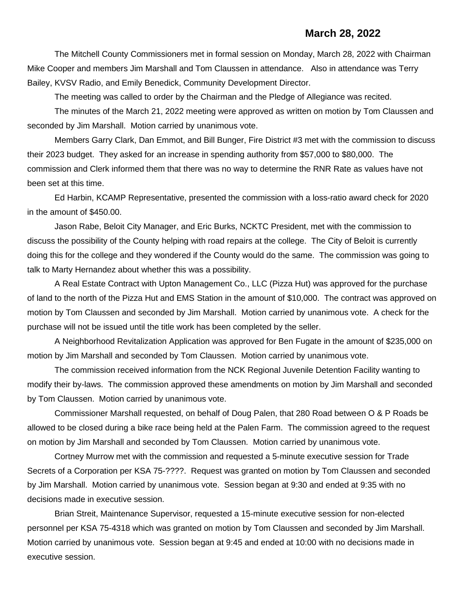## **March 28, 2022**

The Mitchell County Commissioners met in formal session on Monday, March 28, 2022 with Chairman Mike Cooper and members Jim Marshall and Tom Claussen in attendance. Also in attendance was Terry Bailey, KVSV Radio, and Emily Benedick, Community Development Director.

The meeting was called to order by the Chairman and the Pledge of Allegiance was recited.

The minutes of the March 21, 2022 meeting were approved as written on motion by Tom Claussen and seconded by Jim Marshall. Motion carried by unanimous vote.

Members Garry Clark, Dan Emmot, and Bill Bunger, Fire District #3 met with the commission to discuss their 2023 budget. They asked for an increase in spending authority from \$57,000 to \$80,000. The commission and Clerk informed them that there was no way to determine the RNR Rate as values have not been set at this time.

Ed Harbin, KCAMP Representative, presented the commission with a loss-ratio award check for 2020 in the amount of \$450.00.

Jason Rabe, Beloit City Manager, and Eric Burks, NCKTC President, met with the commission to discuss the possibility of the County helping with road repairs at the college. The City of Beloit is currently doing this for the college and they wondered if the County would do the same. The commission was going to talk to Marty Hernandez about whether this was a possibility.

A Real Estate Contract with Upton Management Co., LLC (Pizza Hut) was approved for the purchase of land to the north of the Pizza Hut and EMS Station in the amount of \$10,000. The contract was approved on motion by Tom Claussen and seconded by Jim Marshall. Motion carried by unanimous vote. A check for the purchase will not be issued until the title work has been completed by the seller.

A Neighborhood Revitalization Application was approved for Ben Fugate in the amount of \$235,000 on motion by Jim Marshall and seconded by Tom Claussen. Motion carried by unanimous vote.

The commission received information from the NCK Regional Juvenile Detention Facility wanting to modify their by-laws. The commission approved these amendments on motion by Jim Marshall and seconded by Tom Claussen. Motion carried by unanimous vote.

Commissioner Marshall requested, on behalf of Doug Palen, that 280 Road between O & P Roads be allowed to be closed during a bike race being held at the Palen Farm. The commission agreed to the request on motion by Jim Marshall and seconded by Tom Claussen. Motion carried by unanimous vote.

Cortney Murrow met with the commission and requested a 5-minute executive session for Trade Secrets of a Corporation per KSA 75-????. Request was granted on motion by Tom Claussen and seconded by Jim Marshall. Motion carried by unanimous vote. Session began at 9:30 and ended at 9:35 with no decisions made in executive session.

Brian Streit, Maintenance Supervisor, requested a 15-minute executive session for non-elected personnel per KSA 75-4318 which was granted on motion by Tom Claussen and seconded by Jim Marshall. Motion carried by unanimous vote. Session began at 9:45 and ended at 10:00 with no decisions made in executive session.